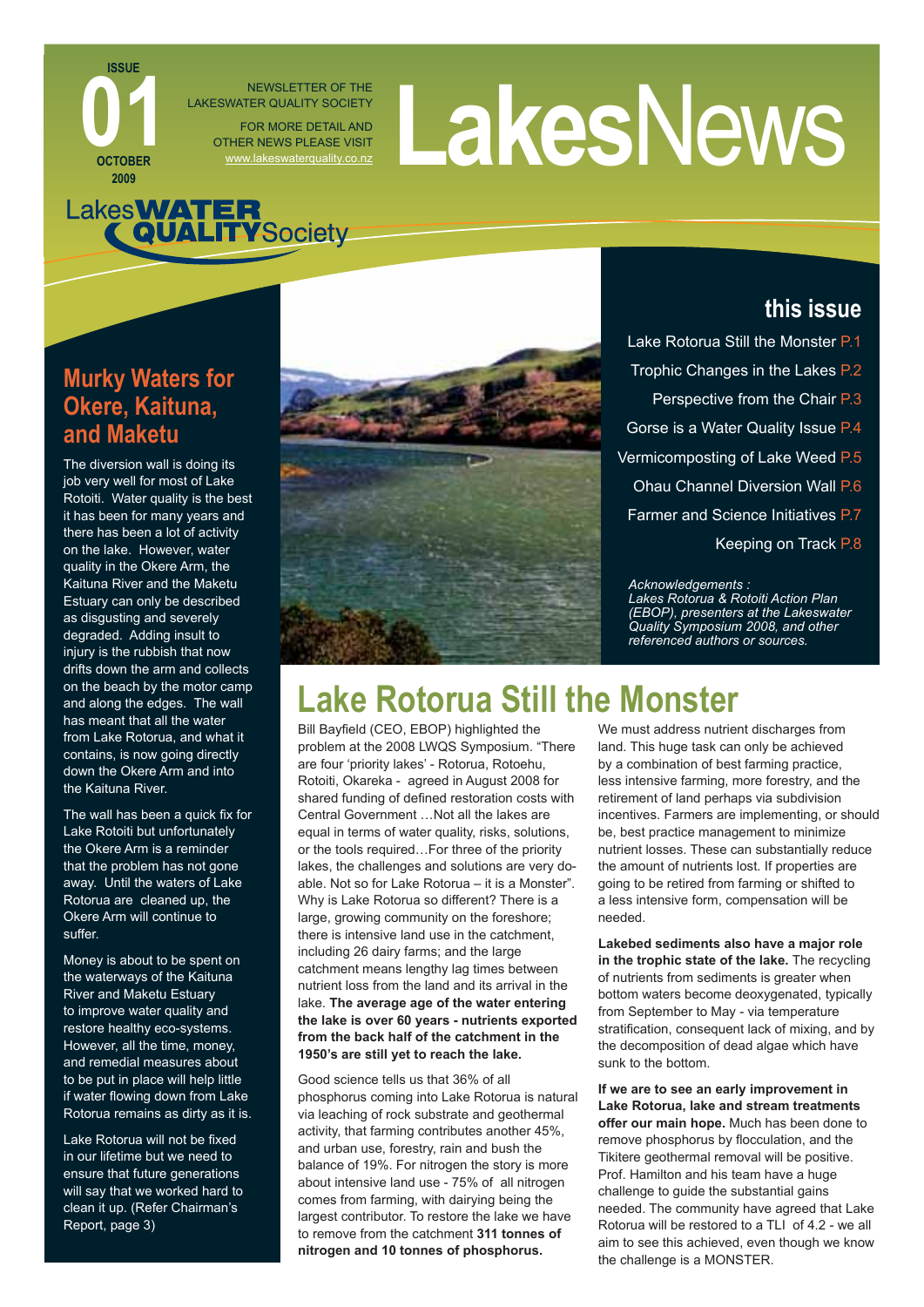#### NEWSLETTER OF THE LAKESWATER QUALITY SOCIETY FOR MORE DETAIL AND OTHER NEWS PLEASE VISIT NEWSLETTER OF THE<br>FOR MORE DETAILAND<br>THER NEWS PLEASE VISIT<br>WWW.lakeswaterquality.co.nz

# Lakes**WATER**<br>QUALITYSociety

### **Murky Waters for Okere, Kaituna, and Maketu**

**ISSUE**

**OCTOBER 2009**

**00108FR** 

The diversion wall is doing its job very well for most of Lake Rotoiti. Water quality is the best it has been for many years and there has been a lot of activity on the lake. However, water quality in the Okere Arm, the Kaituna River and the Maketu Estuary can only be described as disgusting and severely degraded. Adding insult to injury is the rubbish that now drifts down the arm and collects on the beach by the motor camp and along the edges. The wall has meant that all the water from Lake Rotorua, and what it contains, is now going directly down the Okere Arm and into the Kaituna River.

The wall has been a quick fix for Lake Rotoiti but unfortunately the Okere Arm is a reminder that the problem has not gone away. Until the waters of Lake Rotorua are cleaned up, the Okere Arm will continue to suffer.

Money is about to be spent on the waterways of the Kaituna River and Maketu Estuary to improve water quality and restore healthy eco-systems. However, all the time, money, and remedial measures about to be put in place will help little if water flowing down from Lake Rotorua remains as dirty as it is.

Lake Rotorua will not be fixed in our lifetime but we need to ensure that future generations will say that we worked hard to clean it up. (Refer Chairman's Report, page 3)



### **this issue**

- Lake Rotorua Still the Monster P.1 Trophic Changes in the Lakes P.2 Perspective from the Chair P.3 Gorse is a Water Quality Issue P.4
- Vermicomposting of Lake Weed P.5
	- Ohau Channel Diversion Wall P.6
- Farmer and Science Initiatives P.7
	- Keeping on Track P.8

#### *Acknowledgements :*

*Lakes Rotorua & Rotoiti Action Plan (EBOP), presenters at the Lakeswater Quality Symposium 2008, and other referenced authors or sources.*

## **Lake Rotorua Still the Monster**

Bill Bayfield (CEO, EBOP) highlighted the problem at the 2008 LWQS Symposium. "There are four 'priority lakes' - Rotorua, Rotoehu, Rotoiti, Okareka - agreed in August 2008 for shared funding of defined restoration costs with Central Government …Not all the lakes are equal in terms of water quality, risks, solutions, or the tools required…For three of the priority lakes, the challenges and solutions are very doable. Not so for Lake Rotorua – it is a Monster". Why is Lake Rotorua so different? There is a large, growing community on the foreshore; there is intensive land use in the catchment, including 26 dairy farms; and the large catchment means lengthy lag times between nutrient loss from the land and its arrival in the lake. **The average age of the water entering the lake is over 60 years - nutrients exported from the back half of the catchment in the 1950's are still yet to reach the lake.**

Good science tells us that 36% of all phosphorus coming into Lake Rotorua is natural via leaching of rock substrate and geothermal activity, that farming contributes another 45%, and urban use, forestry, rain and bush the balance of 19%. For nitrogen the story is more about intensive land use - 75% of all nitrogen comes from farming, with dairying being the largest contributor. To restore the lake we have to remove from the catchment **311 tonnes of nitrogen and 10 tonnes of phosphorus.**

We must address nutrient discharges from land. This huge task can only be achieved by a combination of best farming practice, less intensive farming, more forestry, and the retirement of land perhaps via subdivision incentives. Farmers are implementing, or should be, best practice management to minimize nutrient losses. These can substantially reduce the amount of nutrients lost. If properties are going to be retired from farming or shifted to a less intensive form, compensation will be needed.

**Lakebed sediments also have a major role in the trophic state of the lake.** The recycling of nutrients from sediments is greater when bottom waters become deoxygenated, typically from September to May - via temperature stratification, consequent lack of mixing, and by the decomposition of dead algae which have sunk to the bottom.

**If we are to see an early improvement in Lake Rotorua, lake and stream treatments offer our main hope.** Much has been done to remove phosphorus by flocculation, and the Tikitere geothermal removal will be positive. Prof. Hamilton and his team have a huge challenge to guide the substantial gains needed. The community have agreed that Lake Rotorua will be restored to a TLI of 4.2 - we all aim to see this achieved, even though we know the challenge is a MONSTER.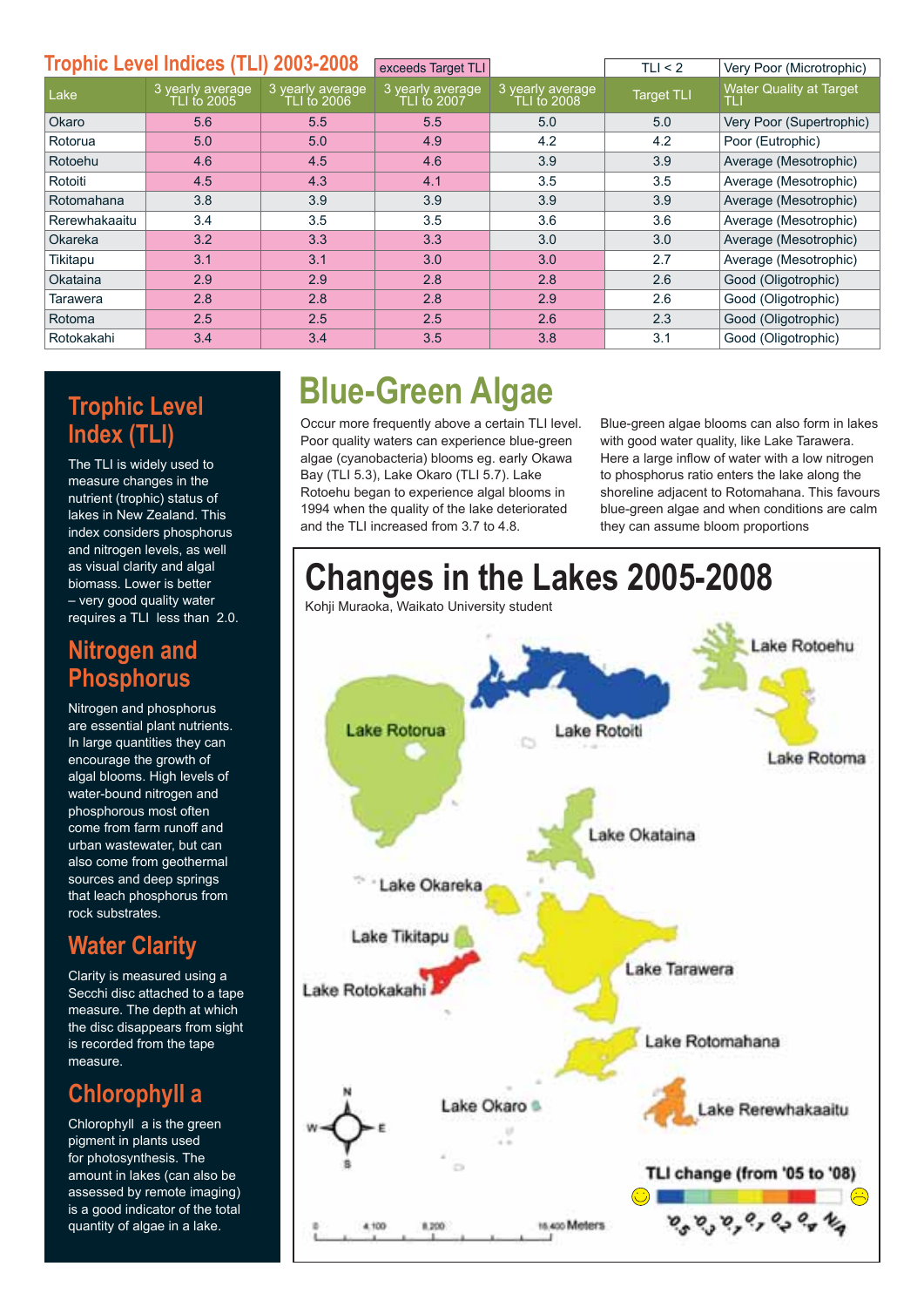| <b>Trophic Level Indices (TLI) 2003-2008</b> |                                 |                                 | exceeds Target TLI               |                                 | TLI < 2           | Very Poor (Microtrophic)              |  |  |  |
|----------------------------------------------|---------------------------------|---------------------------------|----------------------------------|---------------------------------|-------------------|---------------------------------------|--|--|--|
| Lake                                         | 3 yearly average<br>TLI to 2005 | 3 yearly average<br>TLI to 2006 | 3 yearly average<br>TLI t́o 2007 | 3 yearly average<br>TLI to 2008 | <b>Target TLI</b> | <b>Water Quality at Target</b><br>TLI |  |  |  |
| Okaro                                        | 5.6                             | 5.5                             | 5.5                              | 5.0                             | 5.0               | Very Poor (Supertrophic)              |  |  |  |
| Rotorua                                      | 5.0                             | 5.0                             | 4.9                              | 4.2                             | 4.2               | Poor (Eutrophic)                      |  |  |  |
| Rotoehu                                      | 4.6                             | 4.5                             | 4.6                              | 3.9                             | 3.9               | Average (Mesotrophic)                 |  |  |  |
| Rotoiti                                      | 4.5                             | 4.3                             | 4.1                              | 3.5                             | 3.5               | Average (Mesotrophic)                 |  |  |  |
| Rotomahana                                   | 3.8                             | 3.9                             | 3.9                              | 3.9                             | 3.9               | Average (Mesotrophic)                 |  |  |  |
| Rerewhakaaitu                                | 3.4                             | 3.5                             | 3.5                              | 3.6                             | 3.6               | Average (Mesotrophic)                 |  |  |  |
| Okareka                                      | 3.2                             | 3.3                             | 3.3                              | 3.0                             | 3.0               | Average (Mesotrophic)                 |  |  |  |
| Tikitapu                                     | 3.1                             | 3.1                             | 3.0                              | 3.0                             | 2.7               | Average (Mesotrophic)                 |  |  |  |
| Okataina                                     | 2.9                             | 2.9                             | 2.8                              | 2.8                             | 2.6               | Good (Oligotrophic)                   |  |  |  |
| Tarawera                                     | 2.8                             | 2.8                             | 2.8                              | 2.9                             | 2.6               | Good (Oligotrophic)                   |  |  |  |
| Rotoma                                       | 2.5                             | 2.5                             | 2.5                              | 2.6                             | 2.3               | Good (Oligotrophic)                   |  |  |  |
| Rotokakahi                                   | 3.4                             | 3.4                             | 3.5                              | 3.8                             | 3.1               | Good (Oligotrophic)                   |  |  |  |

### **Trophic Level Index (TLI)**

The TLI is widely used to measure changes in the nutrient (trophic) status of lakes in New Zealand. This index considers phosphorus and nitrogen levels, as well as visual clarity and algal biomass. Lower is better – very good quality water requires a TLI less than 2.0.

### **Nitrogen and Phosphorus**

Nitrogen and phosphorus are essential plant nutrients. In large quantities they can encourage the growth of algal blooms. High levels of water-bound nitrogen and phosphorous most often come from farm runoff and urban wastewater, but can also come from geothermal sources and deep springs that leach phosphorus from rock substrates.

### **Water Clarity**

Clarity is measured using a Secchi disc attached to a tape measure. The depth at which the disc disappears from sight is recorded from the tape measure.

### **Chlorophyll a**

Chlorophyll a is the green pigment in plants used for photosynthesis. The amount in lakes (can also be assessed by remote imaging) is a good indicator of the total quantity of algae in a lake.

## **Blue-Green Algae**

Occur more frequently above a certain TLI level. Poor quality waters can experience blue-green algae (cyanobacteria) blooms eg. early Okawa Bay (TLI 5.3), Lake Okaro (TLI 5.7). Lake Rotoehu began to experience algal blooms in 1994 when the quality of the lake deteriorated and the TLI increased from 3.7 to 4.8.

Blue-green algae blooms can also form in lakes with good water quality, like Lake Tarawera. Here a large inflow of water with a low nitrogen to phosphorus ratio enters the lake along the shoreline adjacent to Rotomahana. This favours blue-green algae and when conditions are calm they can assume bloom proportions

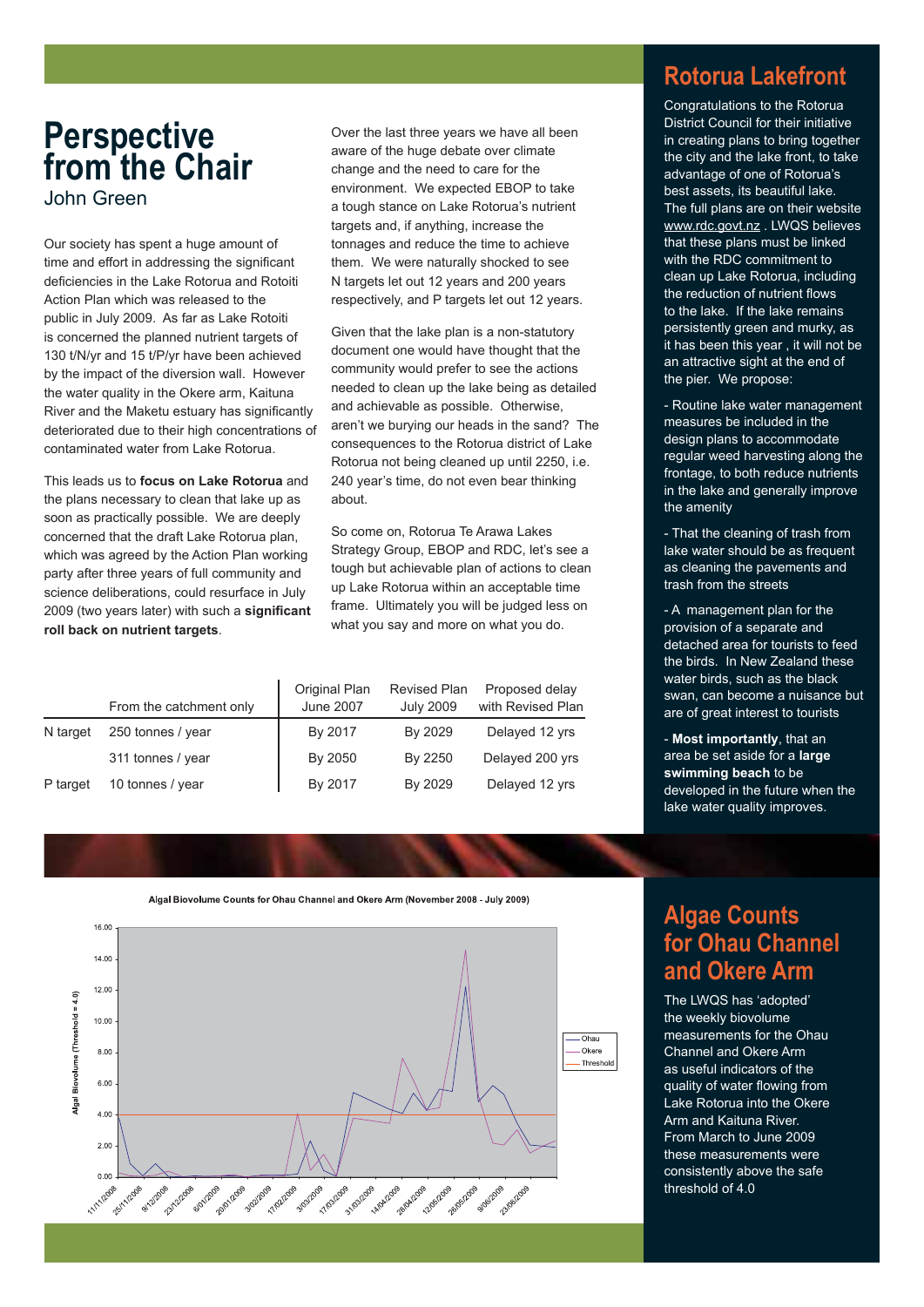### **Perspective from the Chair** John Green

Our society has spent a huge amount of time and effort in addressing the significant deficiencies in the Lake Rotorua and Rotoiti Action Plan which was released to the public in July 2009. As far as Lake Rotoiti is concerned the planned nutrient targets of 130 t/N/yr and 15 t/P/yr have been achieved by the impact of the diversion wall. However the water quality in the Okere arm, Kaituna River and the Maketu estuary has significantly deteriorated due to their high concentrations of contaminated water from Lake Rotorua.

This leads us to **focus on Lake Rotorua** and the plans necessary to clean that lake up as soon as practically possible. We are deeply concerned that the draft Lake Rotorua plan, which was agreed by the Action Plan working party after three years of full community and science deliberations, could resurface in July 2009 (two years later) with such a significant **roll back on nutrient targets**.

Over the last three years we have all been aware of the huge debate over climate change and the need to care for the environment. We expected EBOP to take a tough stance on Lake Rotorua's nutrient targets and, if anything, increase the tonnages and reduce the time to achieve them. We were naturally shocked to see N targets let out 12 years and 200 years respectively, and P targets let out 12 years.

Given that the lake plan is a non-statutory document one would have thought that the community would prefer to see the actions needed to clean up the lake being as detailed and achievable as possible. Otherwise, aren't we burying our heads in the sand? The consequences to the Rotorua district of Lake Rotorua not being cleaned up until 2250, i.e. 240 year's time, do not even bear thinking about.

So come on, Rotorua Te Arawa Lakes Strategy Group, EBOP and RDC, let's see a tough but achievable plan of actions to clean up Lake Rotorua within an acceptable time frame. Ultimately you will be judged less on what you say and more on what you do.

|          | From the catchment only | Original Plan<br><b>June 2007</b> | <b>Revised Plan</b><br><b>July 2009</b> | Proposed delay<br>with Revised Plan |
|----------|-------------------------|-----------------------------------|-----------------------------------------|-------------------------------------|
| N target | 250 tonnes / year       | By 2017                           | By 2029                                 | Delayed 12 yrs                      |
|          | 311 tonnes / year       | By 2050                           | By 2250                                 | Delayed 200 yrs                     |
| P target | 10 tonnes / year        | By 2017                           | By 2029                                 | Delayed 12 yrs                      |

### **Rotorua Lakefront**

Congratulations to the Rotorua District Council for their initiative in creating plans to bring together the city and the lake front, to take advantage of one of Rotorua's best assets, its beautiful lake. The full plans are on their website [www.rdc.govt.nz](http://www.rdc.govt.nz) . LWQS believes that these plans must be linked with the RDC commitment to clean up Lake Rotorua, including the reduction of nutrient flows to the lake. If the lake remains persistently green and murky, as it has been this year , it will not be an attractive sight at the end of the pier. We propose:

- Routine lake water management measures be included in the design plans to accommodate regular weed harvesting along the frontage, to both reduce nutrients in the lake and generally improve the amenity

- That the cleaning of trash from lake water should be as frequent as cleaning the pavements and trash from the streets

- A management plan for the provision of a separate and detached area for tourists to feed the birds. In New Zealand these water birds, such as the black swan, can become a nuisance but are of great interest to tourists

- **Most importantly**, that an area be set aside for a **large swimming beach** to be developed in the future when the lake water quality improves.



#### Algal Biovolume Counts for Obau Channel and Okere Arm (November 2008 - July 2009)

### **Algae Counts for Ohau Channel and Okere Arm**

The LWQS has 'adopted' the weekly biovolume measurements for the Ohau Channel and Okere Arm as useful indicators of the quality of water flowing from Lake Rotorua into the Okere Arm and Kaituna River. From March to June 2009 these measurements were consistently above the safe threshold of 4.0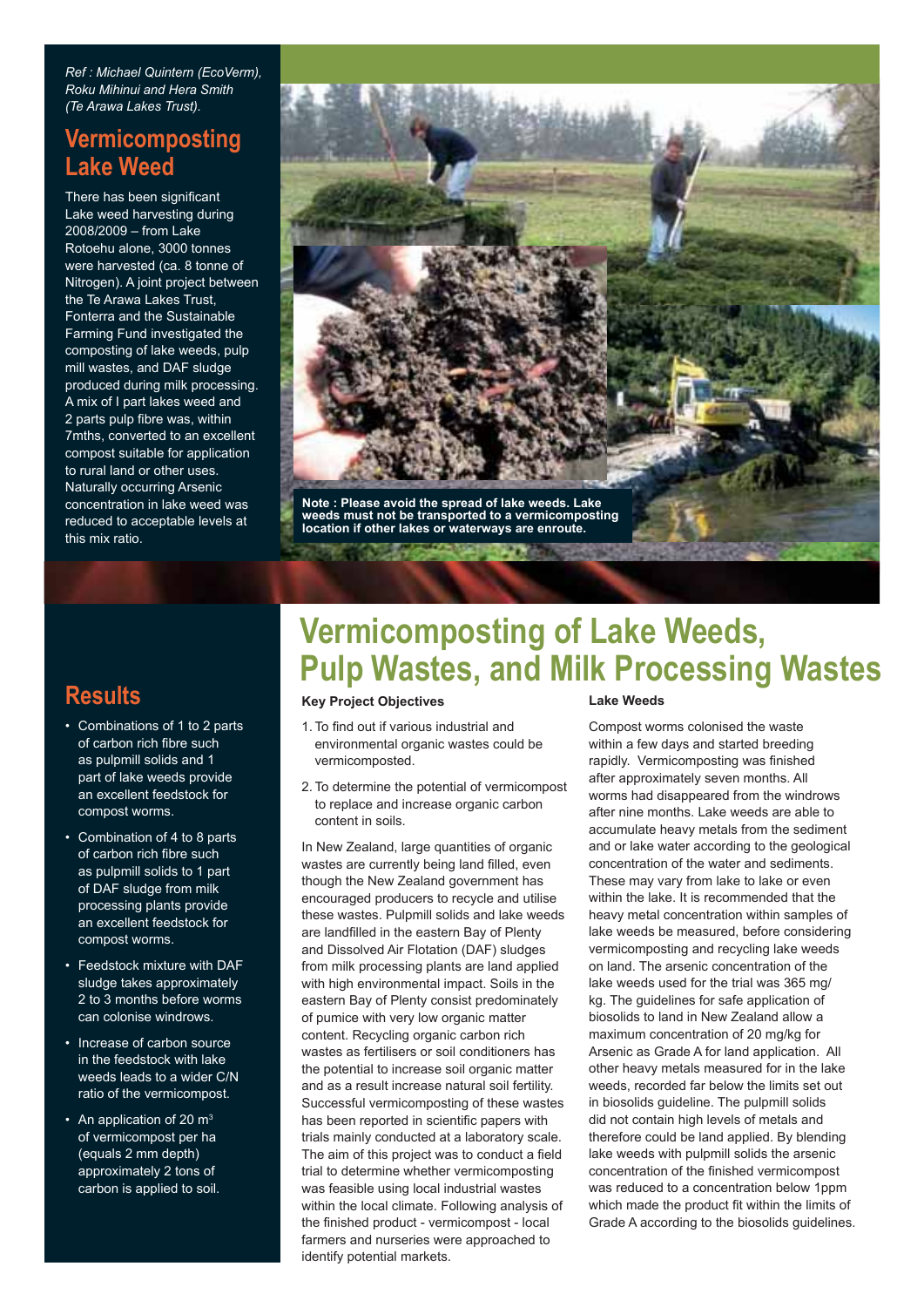*Ref : Michael Quintern (EcoVerm), Roku Mihinui and Hera Smith (Te Arawa Lakes Trust).*

### **Vermicomposting Lake Weed**

There has been significant Lake weed harvesting during 2008/2009 – from Lake Rotoehu alone, 3000 tonnes were harvested (ca. 8 tonne of Nitrogen). A joint project between the Te Arawa Lakes Trust, Fonterra and the Sustainable Farming Fund investigated the composting of lake weeds, pulp mill wastes, and DAF sludge produced during milk processing. A mix of I part lakes weed and 2 parts pulp fibre was, within 7mths, converted to an excellent compost suitable for application to rural land or other uses. Naturally occurring Arsenic concentration in lake weed was reduced to acceptable levels at this mix ratio.



### **Results**

- Combinations of 1 to 2 parts of carbon rich fibre such as pulpmill solids and 1 part of lake weeds provide an excellent feedstock for compost worms.
- Combination of 4 to 8 parts of carbon rich fibre such as pulpmill solids to 1 part of DAF sludge from milk processing plants provide an excellent feedstock for compost worms.
- Feedstock mixture with DAF sludge takes approximately 2 to 3 months before worms can colonise windrows.
- Increase of carbon source in the feedstock with lake weeds leads to a wider C/N ratio of the vermicompost.
- An application of 20  $m<sup>3</sup>$ of vermicompost per ha (equals 2 mm depth) approximately 2 tons of carbon is applied to soil.

## **Vermicomposting of Lake Weeds, Pulp Wastes, and Milk Processing Wastes**

#### **Key Project Objectives**

- 1. To find out if various industrial and environmental organic wastes could be vermicomposted.
- 2. To determine the potential of vermicompost to replace and increase organic carbon content in soils.

In New Zealand, large quantities of organic wastes are currently being land filled, even though the New Zealand government has encouraged producers to recycle and utilise these wastes. Pulpmill solids and lake weeds are landfilled in the eastern Bay of Plenty and Dissolved Air Flotation (DAF) sludges from milk processing plants are land applied with high environmental impact. Soils in the eastern Bay of Plenty consist predominately of pumice with very low organic matter content. Recycling organic carbon rich wastes as fertilisers or soil conditioners has the potential to increase soil organic matter and as a result increase natural soil fertility. Successful vermicomposting of these wastes has been reported in scientific papers with trials mainly conducted at a laboratory scale. The aim of this project was to conduct a field trial to determine whether vermicomposting was feasible using local industrial wastes within the local climate. Following analysis of the finished product - vermicompost - local farmers and nurseries were approached to identify potential markets.

#### **Lake Weeds**

Compost worms colonised the waste within a few days and started breeding rapidly. Vermicomposting was finished after approximately seven months. All worms had disappeared from the windrows after nine months. Lake weeds are able to accumulate heavy metals from the sediment and or lake water according to the geological concentration of the water and sediments. These may vary from lake to lake or even within the lake. It is recommended that the heavy metal concentration within samples of lake weeds be measured, before considering vermicomposting and recycling lake weeds on land. The arsenic concentration of the lake weeds used for the trial was 365 mg/ kg. The guidelines for safe application of biosolids to land in New Zealand allow a maximum concentration of 20 mg/kg for Arsenic as Grade A for land application. All other heavy metals measured for in the lake weeds, recorded far below the limits set out in biosolids guideline. The pulpmill solids did not contain high levels of metals and therefore could be land applied. By blending lake weeds with pulpmill solids the arsenic concentration of the finished vermicompost was reduced to a concentration below 1ppm which made the product fit within the limits of Grade A according to the biosolids guidelines.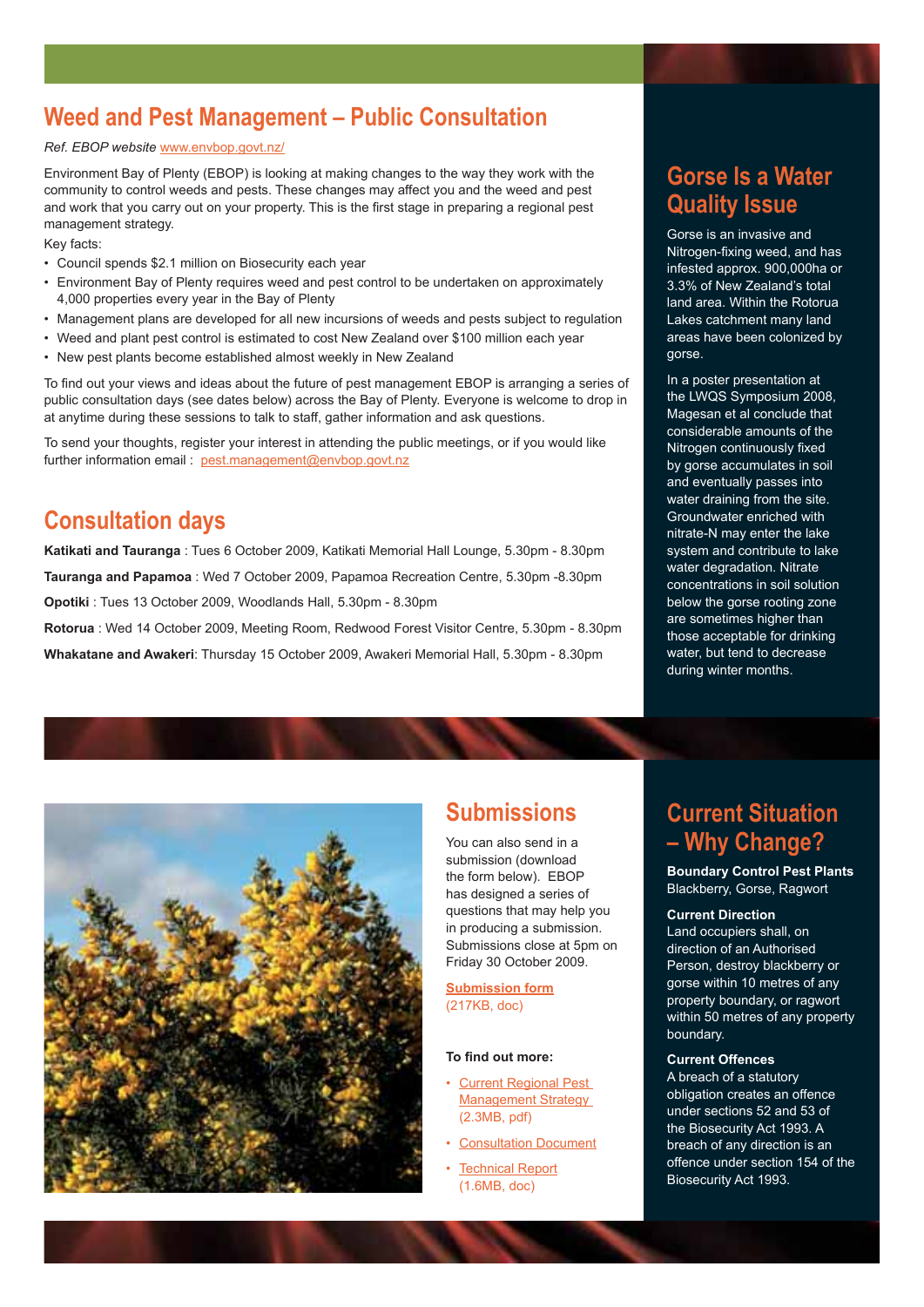### **Weed and Pest Management – Public Consultation**

#### *Ref. EBOP website* [www.envbop.govt.nz/](http://www.envbop.govt.nz)

Environment Bay of Plenty (EBOP) is looking at making changes to the way they work with the community to control weeds and pests. These changes may affect you and the weed and pest and work that you carry out on your property. This is the first stage in preparing a regional pest management strategy.

Key facts:

- Council spends \$2.1 million on Biosecurity each year
- Environment Bay of Plenty requires weed and pest control to be undertaken on approximately 4,000 properties every year in the Bay of Plenty
- Management plans are developed for all new incursions of weeds and pests subject to regulation
- Weed and plant pest control is estimated to cost New Zealand over \$100 million each year
- New pest plants become established almost weekly in New Zealand

To find out your views and ideas about the future of pest management EBOP is arranging a series of public consultation days (see dates below) across the Bay of Plenty. Everyone is welcome to drop in at anytime during these sessions to talk to staff, gather information and ask questions.

To send your thoughts, register your interest in attending the public meetings, or if you would like further information email : [pest.management@envbop.govt.nz](mailto: pest.management@envbop.govt.nz)

### **Consultation days**

**Katikati and Tauranga** : Tues 6 October 2009, Katikati Memorial Hall Lounge, 5.30pm - 8.30pm **Tauranga and Papamoa** : Wed 7 October 2009, Papamoa Recreation Centre, 5.30pm -8.30pm

**Opotiki** : Tues 13 October 2009, Woodlands Hall, 5.30pm - 8.30pm

**Rotorua** : Wed 14 October 2009, Meeting Room, Redwood Forest Visitor Centre, 5.30pm - 8.30pm

**Whakatane and Awakeri**: Thursday 15 October 2009, Awakeri Memorial Hall, 5.30pm - 8.30pm

### **Gorse Is a Water Quality Issue**

Gorse is an invasive and Nitrogen-fixing weed, and has infested approx. 900,000ha or 3.3% of New Zealand's total land area. Within the Rotorua Lakes catchment many land areas have been colonized by gorse.

In a poster presentation at the LWQS Symposium 2008, Magesan et al conclude that considerable amounts of the Nitrogen continuously fixed by gorse accumulates in soil and eventually passes into water draining from the site. Groundwater enriched with nitrate-N may enter the lake system and contribute to lake water degradation. Nitrate concentrations in soil solution below the gorse rooting zone are sometimes higher than those acceptable for drinking water, but tend to decrease during winter months.



### **Submissions**

You can also send in a submission (download the form below). EBOP has designed a series of questions that may help you in producing a submission. Submissions close at 5pm on Friday 30 October 2009.

**[Submission form](http://www.envbop.govt.nz/Strategies/RPMS-090817-SubmissionForm.doc)** (217KB, doc)

#### To find out more:

- [Current Regional Pest](http://www.envbop.govt.nz/Strategies/Strategy-200306-RegionalPestManagementStrategy.pdf)  Management Strategy (2.3MB, pdf)
- [Consultation Document](http://www.envbop.govt.nz/Knowledge-Centre/PestManagementintheBayofPlenty/Pest-Management-in-the-Bay-of-Plenty.aspx)
- **Technical Report** (1.6MB, doc)

### **Current Situation – Why Change?**

**Boundary Control Pest Plants** Blackberry, Gorse, Ragwort

#### **Current Direction**

Land occupiers shall, on direction of an Authorised Person, destroy blackberry or gorse within 10 metres of any property boundary, or ragwort within 50 metres of any property boundary.

#### **Current Offences**

A breach of a statutory obligation creates an offence under sections 52 and 53 of the Biosecurity Act 1993. A breach of any direction is an offence under section 154 of the Biosecurity Act 1993.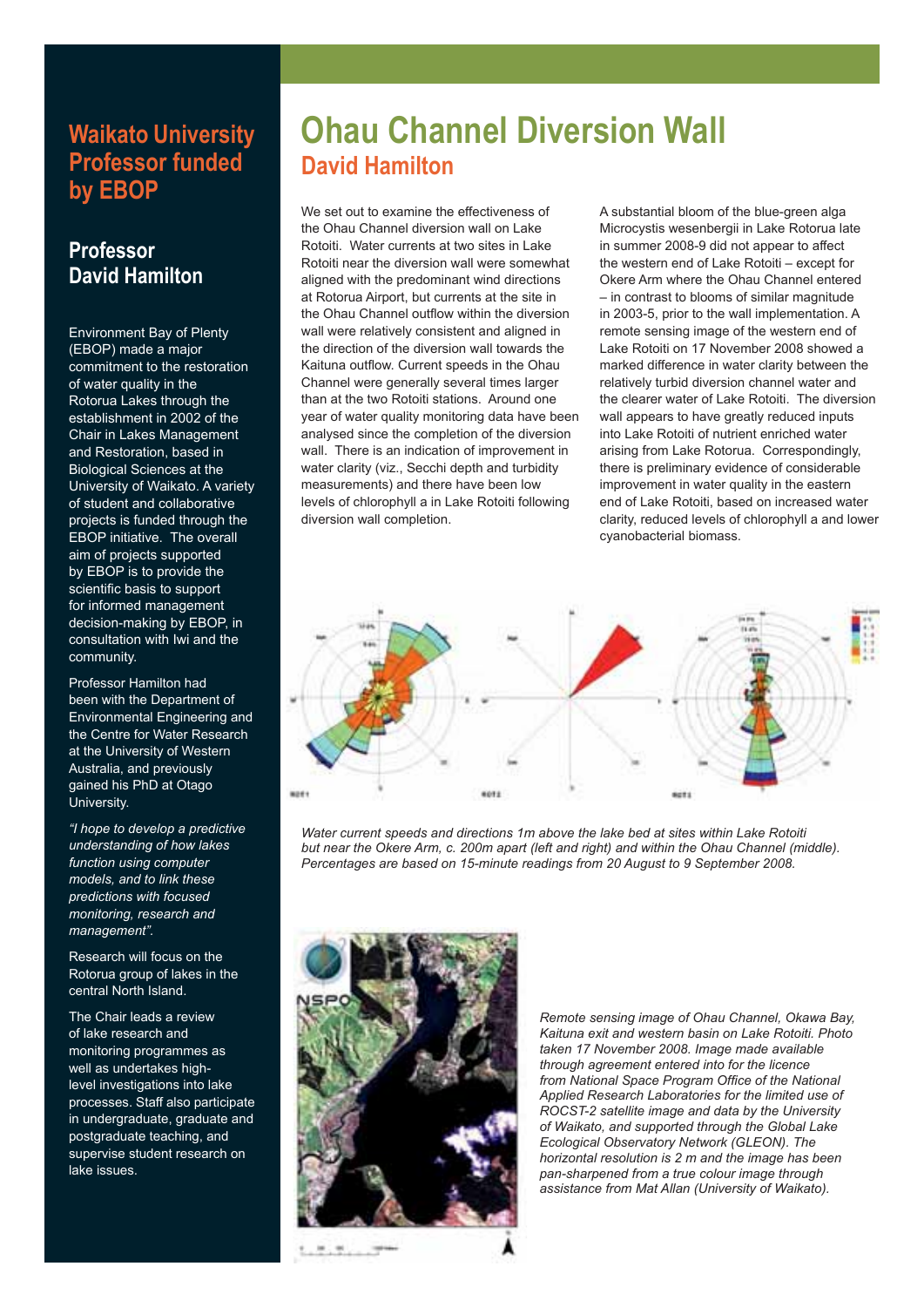### **Waikato University Professor funded by EBOP**

### **Professor David Hamilton**

Environment Bay of Plenty (EBOP) made a major commitment to the restoration of water quality in the Rotorua Lakes through the establishment in 2002 of the Chair in Lakes Management and Restoration, based in Biological Sciences at the University of Waikato. A variety of student and collaborative projects is funded through the EBOP initiative. The overall aim of projects supported by **EBOP** is to provide the scientific basis to support for informed management decision-making by EBOP, in consultation with Iwi and the community.

Professor Hamilton had been with the Department of Environmental Engineering and the Centre for Water Research at the University of Western Australia, and previously gained his PhD at Otago University.

*"I hope to develop a predictive understanding of how lakes function using computer models, and to link these predictions with focused monitoring, research and management".*

Research will focus on the Rotorua group of lakes in the central North Island.

The Chair leads a review of lake research and monitoring programmes as well as undertakes highlevel investigations into lake processes. Staff also participate in undergraduate, graduate and postgraduate teaching, and supervise student research on lake issues.

## **Ohau Channel Diversion Wall David Hamilton**

We set out to examine the effectiveness of the Ohau Channel diversion wall on Lake Rotoiti. Water currents at two sites in Lake Rotoiti near the diversion wall were somewhat aligned with the predominant wind directions at Rotorua Airport, but currents at the site in the Ohau Channel outflow within the diversion wall were relatively consistent and aligned in the direction of the diversion wall towards the Kaituna outflow. Current speeds in the Ohau Channel were generally several times larger than at the two Rotoiti stations. Around one year of water quality monitoring data have been analysed since the completion of the diversion wall. There is an indication of improvement in water clarity (viz., Secchi depth and turbidity measurements) and there have been low levels of chlorophyll a in Lake Rotoiti following diversion wall completion.

A substantial bloom of the blue-green alga Microcystis wesenbergii in Lake Rotorua late in summer 2008-9 did not appear to affect the western end of Lake Rotoiti – except for Okere Arm where the Ohau Channel entered – in contrast to blooms of similar magnitude in 2003-5, prior to the wall implementation. A remote sensing image of the western end of Lake Rotoiti on 17 November 2008 showed a marked difference in water clarity between the relatively turbid diversion channel water and the clearer water of Lake Rotoiti. The diversion wall appears to have greatly reduced inputs into Lake Rotoiti of nutrient enriched water arising from Lake Rotorua. Correspondingly, there is preliminary evidence of considerable improvement in water quality in the eastern end of Lake Rotoiti, based on increased water clarity, reduced levels of chlorophyll a and lower cyanobacterial biomass.



*Water current speeds and directions 1m above the lake bed at sites within Lake Rotoiti but near the Okere Arm, c. 200m apart (left and right) and within the Ohau Channel (middle). Percentages are based on 15-minute readings from 20 August to 9 September 2008.*



*Remote sensing image of Ohau Channel, Okawa Bay, Kaituna exit and western basin on Lake Rotoiti. Photo taken 17 November 2008. Image made available through agreement entered into for the licence*  from National Space Program Office of the National *Applied Research Laboratories for the limited use of ROCST-2 satellite image and data by the University of Waikato, and supported through the Global Lake Ecological Observatory Network (GLEON). The horizontal resolution is 2 m and the image has been pan-sharpened from a true colour image through assistance from Mat Allan (University of Waikato).*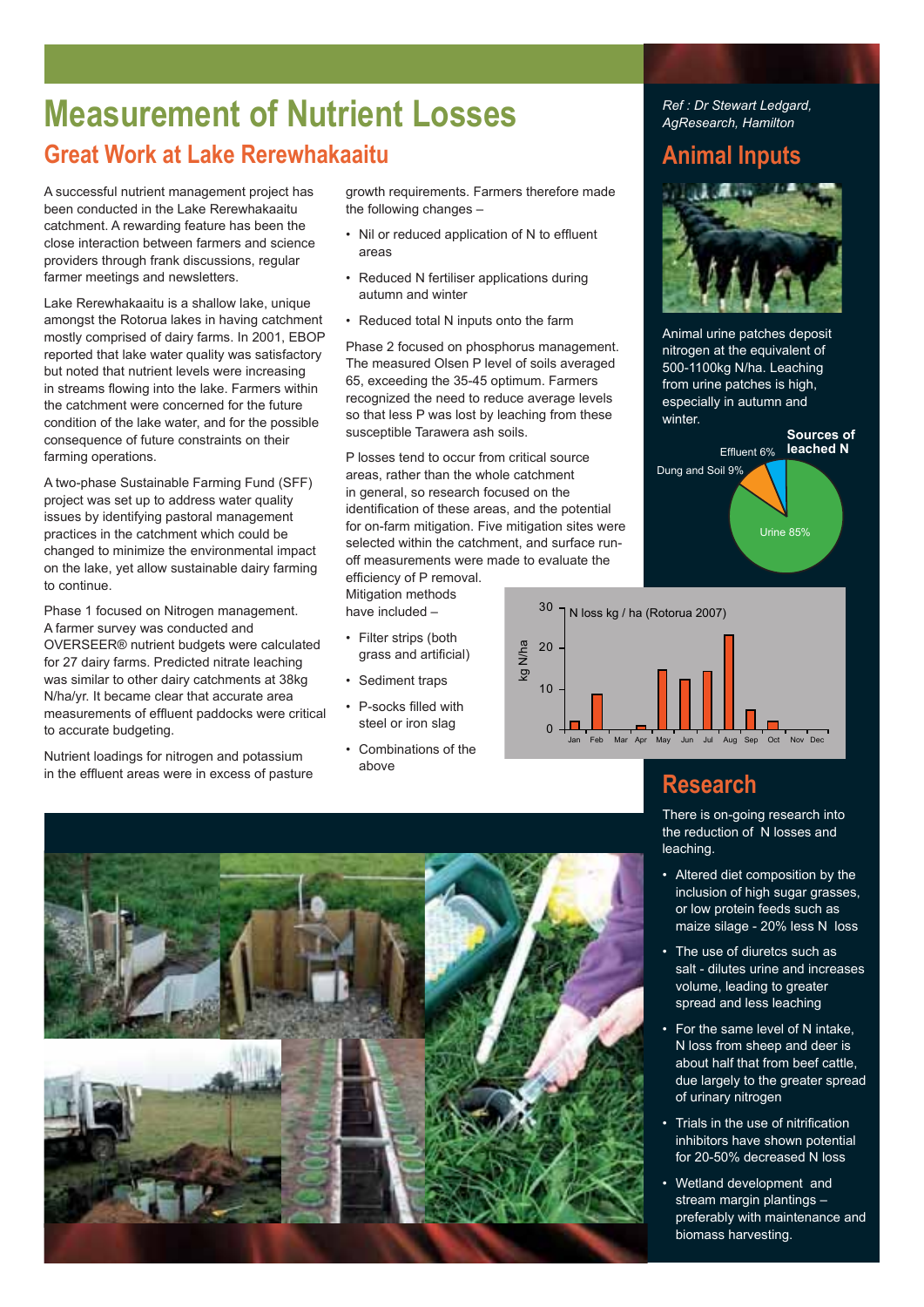### **Measurement of Nutrient Losses Great Work at Lake Rerewhakaaitu**

A successful nutrient management project has been conducted in the Lake Rerewhakaaitu catchment. A rewarding feature has been the close interaction between farmers and science providers through frank discussions, regular farmer meetings and newsletters.

Lake Rerewhakaaitu is a shallow lake, unique amongst the Rotorua lakes in having catchment mostly comprised of dairy farms. In 2001, EBOP reported that lake water quality was satisfactory but noted that nutrient levels were increasing in streams flowing into the lake. Farmers within the catchment were concerned for the future condition of the lake water, and for the possible consequence of future constraints on their farming operations.

A two-phase Sustainable Farming Fund (SFF) project was set up to address water quality issues by identifying pastoral management practices in the catchment which could be changed to minimize the environmental impact on the lake, yet allow sustainable dairy farming to continue.

Phase 1 focused on Nitrogen management. A farmer survey was conducted and OVERSEER® nutrient budgets were calculated for 27 dairy farms. Predicted nitrate leaching was similar to other dairy catchments at 38kg N/ha/yr. It became clear that accurate area measurements of effluent paddocks were critical to accurate budgeting.

Nutrient loadings for nitrogen and potassium in the effluent areas were in excess of pasture growth requirements. Farmers therefore made the following changes –

- Nil or reduced application of N to effluent areas
- Reduced N fertiliser applications during autumn and winter
- Reduced total N inputs onto the farm

Phase 2 focused on phosphorus management. The measured Olsen P level of soils averaged 65, exceeding the 35-45 optimum. Farmers recognized the need to reduce average levels so that less P was lost by leaching from these susceptible Tarawera ash soils.

P losses tend to occur from critical source areas, rather than the whole catchment in general, so research focused on the identification of these areas, and the potential for on-farm mitigation. Five mitigation sites were selected within the catchment, and surface runoff measurements were made to evaluate the

efficiency of P removal. Mitigation methods have included –

- Filter strips (both grass and artificial)
- Sediment traps
- P-socks filled with steel or iron slag
- Combinations of the above

*Ref : Dr Stewart Ledgard, AgResearch, Hamilton*

### **Animal Inputs**



Animal urine patches deposit nitrogen at the equivalent of 500-1100kg N/ha. Leaching from urine patches is high, especially in autumn and winter.





### **Research**

There is on-going research into the reduction of N losses and leaching.

- Altered diet composition by the inclusion of high sugar grasses, or low protein feeds such as maize silage - 20% less N loss
- The use of diuretcs such as salt - dilutes urine and increases volume, leading to greater spread and less leaching
- For the same level of N intake, N loss from sheep and deer is about half that from beef cattle, due largely to the greater spread of urinary nitrogen
- Trials in the use of nitrification inhibitors have shown potential for 20-50% decreased N loss
- Wetland development and stream margin plantings – preferably with maintenance and biomass harvesting.